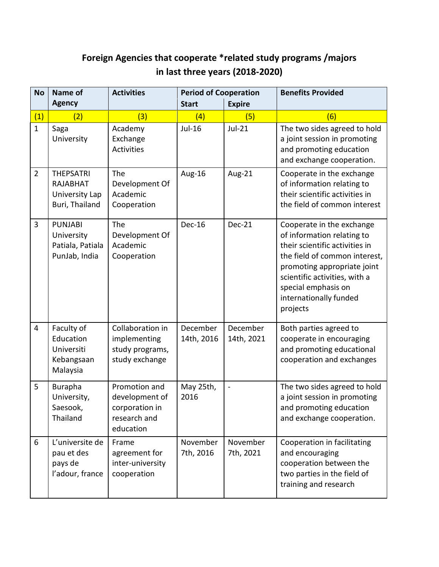## **Foreign Agencies that cooperate \*related study programs /majors in last three years (2018-2020)**

| <b>No</b>      | <b>Name of</b>                                                          | <b>Activities</b>                                                              | <b>Period of Cooperation</b> |                        | <b>Benefits Provided</b>                                                                                                                                                                                                                                |
|----------------|-------------------------------------------------------------------------|--------------------------------------------------------------------------------|------------------------------|------------------------|---------------------------------------------------------------------------------------------------------------------------------------------------------------------------------------------------------------------------------------------------------|
|                | <b>Agency</b>                                                           |                                                                                | <b>Start</b>                 | <b>Expire</b>          |                                                                                                                                                                                                                                                         |
| (1)            | (2)                                                                     | (3)                                                                            | (4)                          | (5)                    | (6)                                                                                                                                                                                                                                                     |
| $\mathbf{1}$   | Saga<br>University                                                      | Academy<br>Exchange<br><b>Activities</b>                                       | Jul-16                       | $Jul-21$               | The two sides agreed to hold<br>a joint session in promoting<br>and promoting education<br>and exchange cooperation.                                                                                                                                    |
| $\overline{2}$ | <b>THEPSATRI</b><br><b>RAJABHAT</b><br>University Lap<br>Buri, Thailand | The<br>Development Of<br>Academic<br>Cooperation                               | Aug-16                       | Aug-21                 | Cooperate in the exchange<br>of information relating to<br>their scientific activities in<br>the field of common interest                                                                                                                               |
| 3              | <b>PUNJABI</b><br>University<br>Patiala, Patiala<br>PunJab, India       | The<br>Development Of<br>Academic<br>Cooperation                               | <b>Dec-16</b>                | Dec-21                 | Cooperate in the exchange<br>of information relating to<br>their scientific activities in<br>the field of common interest,<br>promoting appropriate joint<br>scientific activities, with a<br>special emphasis on<br>internationally funded<br>projects |
| $\overline{4}$ | Faculty of<br>Education<br>Universiti<br>Kebangsaan<br>Malaysia         | Collaboration in<br>implementing<br>study programs,<br>study exchange          | December<br>14th, 2016       | December<br>14th, 2021 | Both parties agreed to<br>cooperate in encouraging<br>and promoting educational<br>cooperation and exchanges                                                                                                                                            |
| 5              | <b>Burapha</b><br>University,<br>Saesook,<br>Thailand                   | Promotion and<br>development of<br>corporation in<br>research and<br>education | May 25th,<br>2016            | $\blacksquare$         | The two sides agreed to hold<br>a joint session in promoting<br>and promoting education<br>and exchange cooperation.                                                                                                                                    |
| 6              | L'universite de<br>pau et des<br>pays de<br>l'adour, france             | Frame<br>agreement for<br>inter-university<br>cooperation                      | November<br>7th, 2016        | November<br>7th, 2021  | Cooperation in facilitating<br>and encouraging<br>cooperation between the<br>two parties in the field of<br>training and research                                                                                                                       |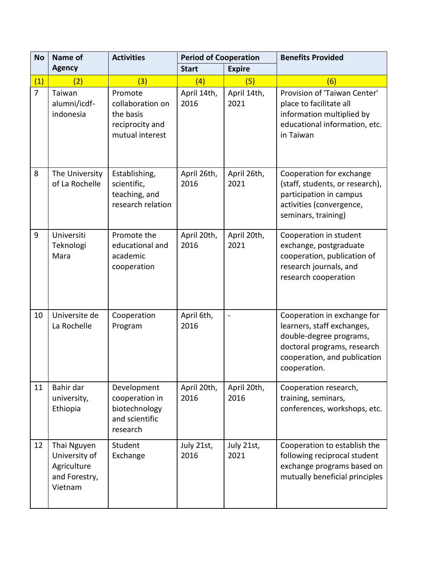| <b>No</b>      | <b>Name of</b>                                                          | <b>Activities</b>                                                              | <b>Period of Cooperation</b> |                     | <b>Benefits Provided</b>                                                                                                                                            |
|----------------|-------------------------------------------------------------------------|--------------------------------------------------------------------------------|------------------------------|---------------------|---------------------------------------------------------------------------------------------------------------------------------------------------------------------|
|                | <b>Agency</b>                                                           |                                                                                | <b>Start</b>                 | <b>Expire</b>       |                                                                                                                                                                     |
| (1)            | (2)                                                                     | (3)                                                                            | (4)                          | (5)                 | (6)                                                                                                                                                                 |
| $\overline{7}$ | Taiwan<br>alumni/icdf-<br>indonesia                                     | Promote<br>collaboration on<br>the basis<br>reciprocity and<br>mutual interest | April 14th,<br>2016          | April 14th,<br>2021 | Provision of 'Taiwan Center'<br>place to facilitate all<br>information multiplied by<br>educational information, etc.<br>in Taiwan                                  |
| 8              | The University<br>of La Rochelle                                        | Establishing,<br>scientific,<br>teaching, and<br>research relation             | April 26th,<br>2016          | April 26th,<br>2021 | Cooperation for exchange<br>(staff, students, or research),<br>participation in campus<br>activities (convergence,<br>seminars, training)                           |
| 9              | Universiti<br>Teknologi<br>Mara                                         | Promote the<br>educational and<br>academic<br>cooperation                      | April 20th,<br>2016          | April 20th,<br>2021 | Cooperation in student<br>exchange, postgraduate<br>cooperation, publication of<br>research journals, and<br>research cooperation                                   |
| 10             | Universite de<br>La Rochelle                                            | Cooperation<br>Program                                                         | April 6th,<br>2016           | $\frac{1}{2}$       | Cooperation in exchange for<br>learners, staff exchanges,<br>double-degree programs,<br>doctoral programs, research<br>cooperation, and publication<br>cooperation. |
| 11             | Bahir dar<br>university,<br>Ethiopia                                    | Development<br>cooperation in<br>biotechnology<br>and scientific<br>research   | April 20th,<br>2016          | April 20th,<br>2016 | Cooperation research,<br>training, seminars,<br>conferences, workshops, etc.                                                                                        |
| 12             | Thai Nguyen<br>University of<br>Agriculture<br>and Forestry,<br>Vietnam | Student<br>Exchange                                                            | July 21st,<br>2016           | July 21st,<br>2021  | Cooperation to establish the<br>following reciprocal student<br>exchange programs based on<br>mutually beneficial principles                                        |